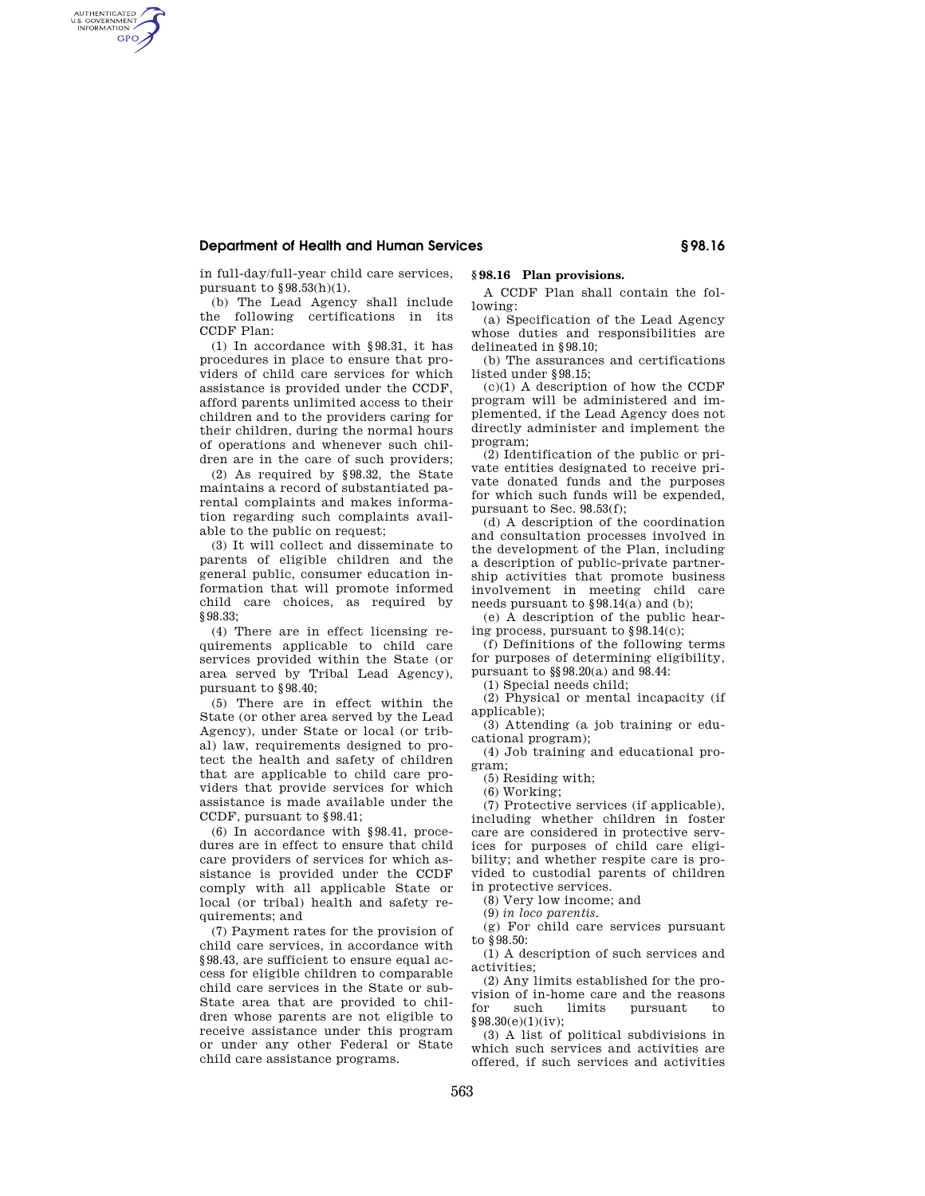### **Department of Health and Human Services § 98.16**

in full-day/full-year child care services, pursuant to  $\S 98.53(h)(1)$ .

AUTHENTICATED<br>U.S. GOVERNMENT<br>INFORMATION **GPO** 

> (b) The Lead Agency shall include the following certifications in its CCDF Plan:

> (1) In accordance with §98.31, it has procedures in place to ensure that providers of child care services for which assistance is provided under the CCDF, afford parents unlimited access to their children and to the providers caring for their children, during the normal hours of operations and whenever such children are in the care of such providers;

> (2) As required by §98.32, the State maintains a record of substantiated parental complaints and makes information regarding such complaints available to the public on request;

> (3) It will collect and disseminate to parents of eligible children and the general public, consumer education information that will promote informed child care choices, as required by §98.33;

> (4) There are in effect licensing requirements applicable to child care services provided within the State (or area served by Tribal Lead Agency), pursuant to §98.40;

> (5) There are in effect within the State (or other area served by the Lead Agency), under State or local (or tribal) law, requirements designed to protect the health and safety of children that are applicable to child care providers that provide services for which assistance is made available under the CCDF, pursuant to §98.41;

> (6) In accordance with §98.41, procedures are in effect to ensure that child care providers of services for which assistance is provided under the CCDF comply with all applicable State or local (or tribal) health and safety requirements; and

> (7) Payment rates for the provision of child care services, in accordance with §98.43, are sufficient to ensure equal access for eligible children to comparable child care services in the State or sub-State area that are provided to children whose parents are not eligible to receive assistance under this program or under any other Federal or State child care assistance programs.

# **§ 98.16 Plan provisions.**

A CCDF Plan shall contain the following:

(a) Specification of the Lead Agency whose duties and responsibilities are delineated in §98.10;

(b) The assurances and certifications listed under §98.15;

 $(c)(1)$  A description of how the CCDF program will be administered and implemented, if the Lead Agency does not directly administer and implement the program;

(2) Identification of the public or private entities designated to receive private donated funds and the purposes for which such funds will be expended, pursuant to Sec. 98.53(f);

(d) A description of the coordination and consultation processes involved in the development of the Plan, including a description of public-private partnership activities that promote business involvement in meeting child care needs pursuant to §98.14(a) and (b);

(e) A description of the public hearing process, pursuant to §98.14(c);

(f) Definitions of the following terms for purposes of determining eligibility, pursuant to §§98.20(a) and 98.44:

(1) Special needs child;

(2) Physical or mental incapacity (if applicable);

(3) Attending (a job training or educational program);

(4) Job training and educational program;

(5) Residing with;

(6) Working;

(7) Protective services (if applicable), including whether children in foster care are considered in protective services for purposes of child care eligibility; and whether respite care is provided to custodial parents of children in protective services.

(8) Very low income; and

(9) *in loco parentis*.

(g) For child care services pursuant to §98.50:

(1) A description of such services and activities;

(2) Any limits established for the provision of in-home care and the reasons for such limits pursuant to §98.30(e)(1)(iv);

(3) A list of political subdivisions in which such services and activities are offered, if such services and activities